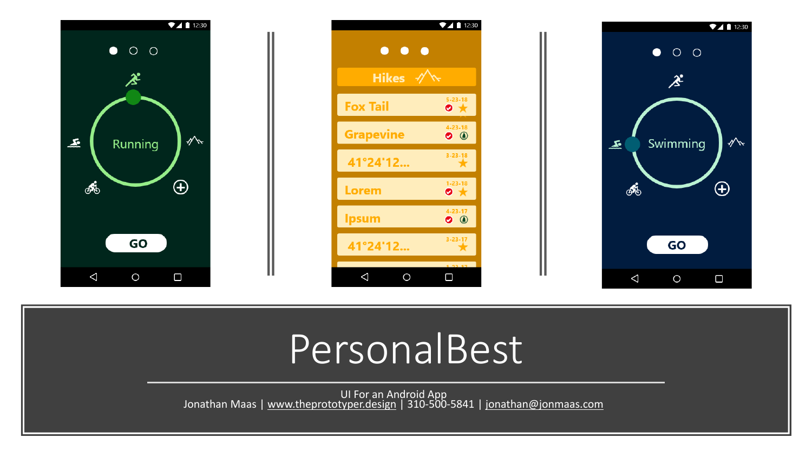

# PersonalBest

UI For an Android App<br>Jonathan Maas | [www.theprototyper.design](http://www.theprototyper.design/) | 310-500-5841 | [jonathan@jonmaas.com](mailto:jonathan@jonmaas.com)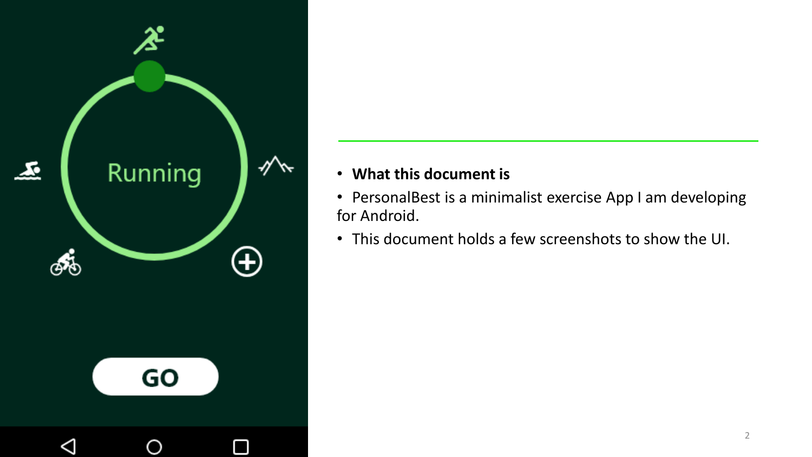

#### • **What this document is**

- PersonalBest is a minimalist exercise App I am developing for Android.
- This document holds a few screenshots to show the UI.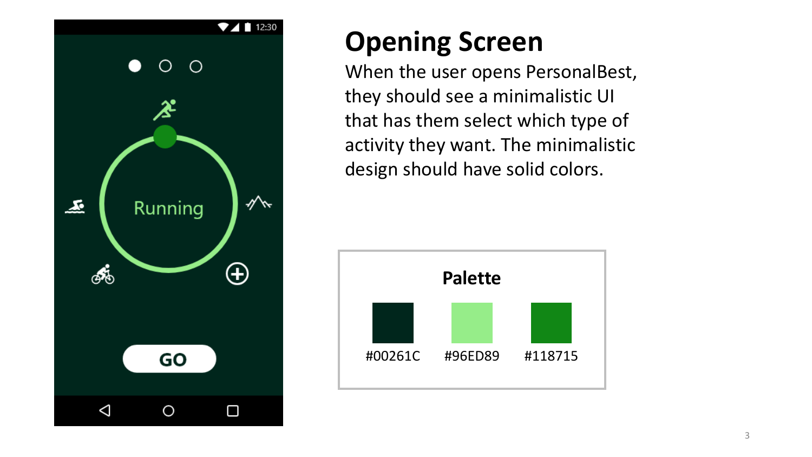

# **Opening Screen**

When the user opens PersonalBest, they should see a minimalistic UI that has them select which type of activity they want. The minimalistic design should have solid colors.

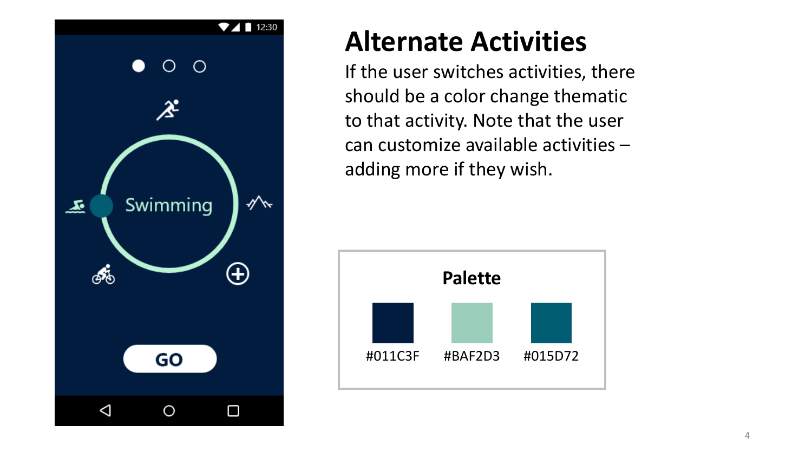

### **Alternate Activities**

If the user switches activities, there should be a color change thematic to that activity. Note that the user can customize available activities – adding more if they wish.

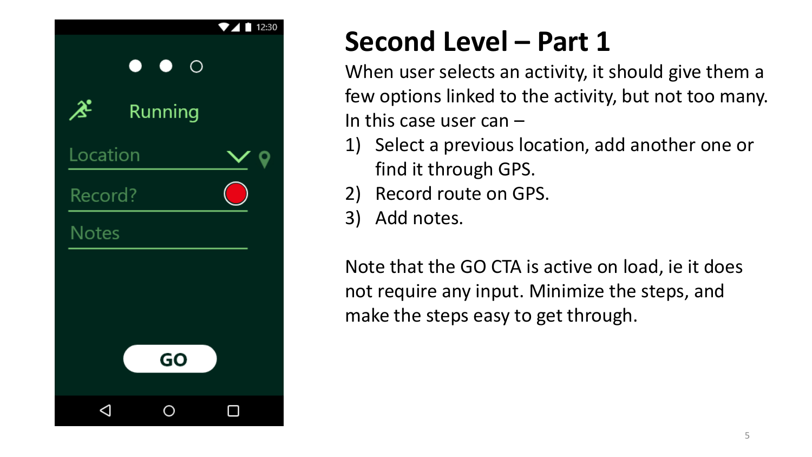

# **Second Level – Part 1**

When user selects an activity, it should give them a few options linked to the activity, but not too many. In this case user can –

- 1) Select a previous location, add another one or find it through GPS.
- 2) Record route on GPS.
- 3) Add notes.

Note that the GO CTA is active on load, ie it does not require any input. Minimize the steps, and make the steps easy to get through.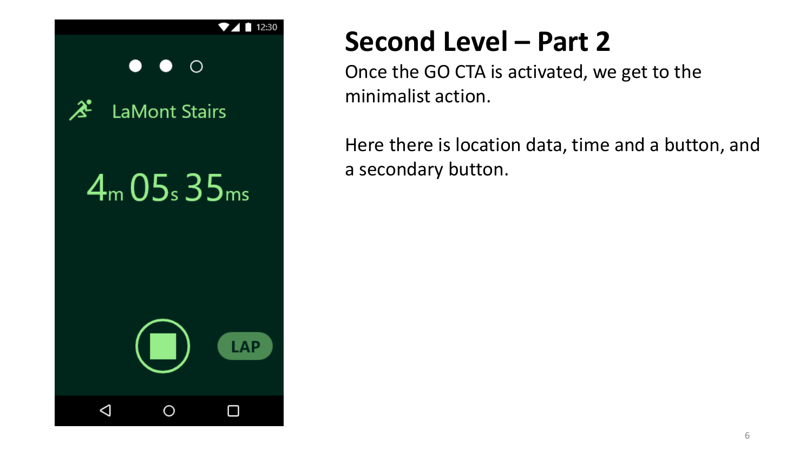

## **Second Level – Part 2**

Once the GO CTA is activated, we get to the minimalist action.

Here there is location data, time and a button, and a secondary button.